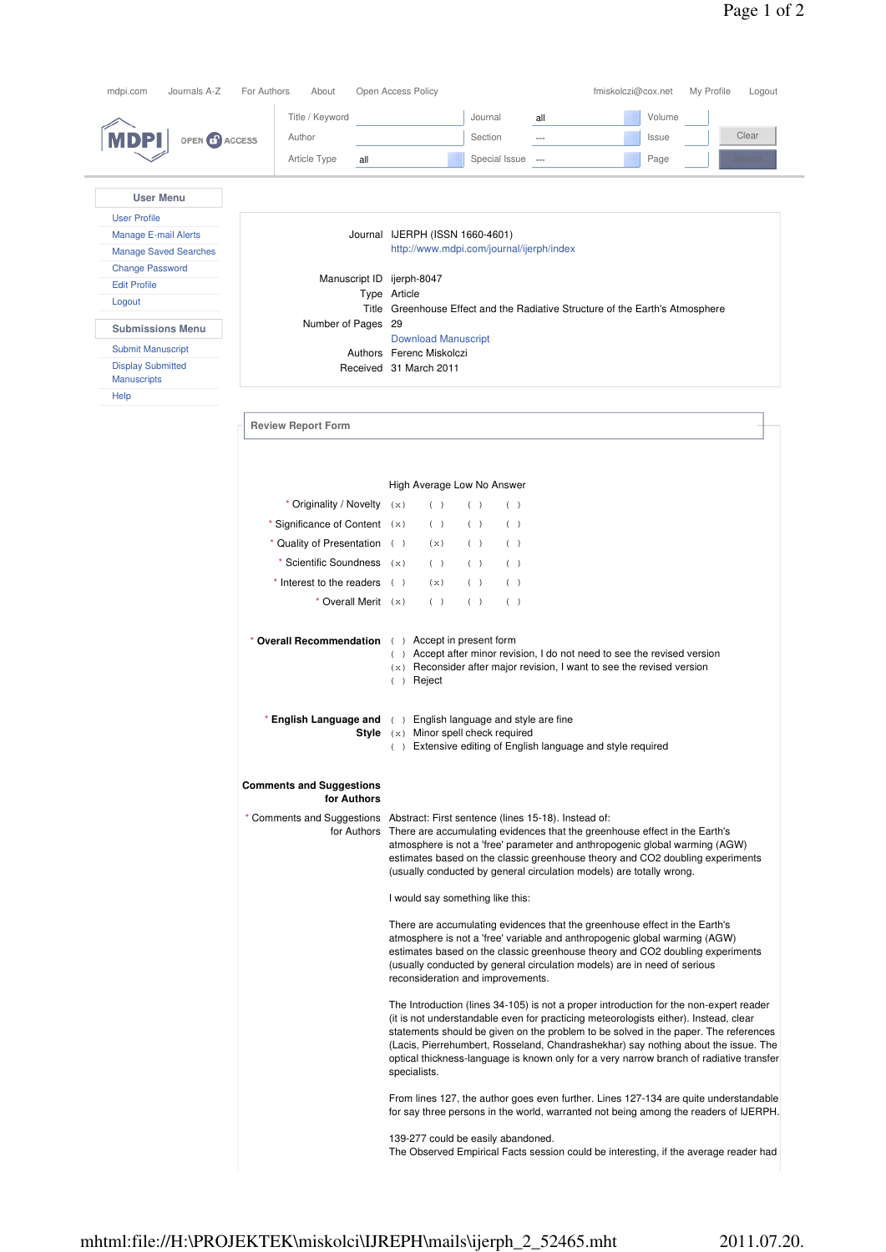| mdpi.com<br>Journals A-Z                       | For Authors<br>About                                                                                                                                                                                                                                                                                                                                       | Open Access Policy<br>fmiskolczi@cox.net<br>My Profile<br>Logout                                                                                                                                                                                                                                                                                                                                                                                                       |
|------------------------------------------------|------------------------------------------------------------------------------------------------------------------------------------------------------------------------------------------------------------------------------------------------------------------------------------------------------------------------------------------------------------|------------------------------------------------------------------------------------------------------------------------------------------------------------------------------------------------------------------------------------------------------------------------------------------------------------------------------------------------------------------------------------------------------------------------------------------------------------------------|
|                                                | Title / Keyword                                                                                                                                                                                                                                                                                                                                            | Journal<br>all<br>Volume                                                                                                                                                                                                                                                                                                                                                                                                                                               |
| MDPI<br>OPEN <b>1</b> ACCESS                   | Author                                                                                                                                                                                                                                                                                                                                                     | Clear<br>Section<br>Issue<br>---                                                                                                                                                                                                                                                                                                                                                                                                                                       |
|                                                | Article Type<br>all                                                                                                                                                                                                                                                                                                                                        | Special Issue<br>Page<br>$\sim$<br>Search                                                                                                                                                                                                                                                                                                                                                                                                                              |
|                                                |                                                                                                                                                                                                                                                                                                                                                            |                                                                                                                                                                                                                                                                                                                                                                                                                                                                        |
| <b>User Menu</b>                               |                                                                                                                                                                                                                                                                                                                                                            |                                                                                                                                                                                                                                                                                                                                                                                                                                                                        |
| <b>User Profile</b>                            |                                                                                                                                                                                                                                                                                                                                                            |                                                                                                                                                                                                                                                                                                                                                                                                                                                                        |
| <b>Manage E-mail Alerts</b>                    |                                                                                                                                                                                                                                                                                                                                                            | Journal IJERPH (ISSN 1660-4601)                                                                                                                                                                                                                                                                                                                                                                                                                                        |
| <b>Manage Saved Searches</b>                   |                                                                                                                                                                                                                                                                                                                                                            | http://www.mdpi.com/journal/ijerph/index                                                                                                                                                                                                                                                                                                                                                                                                                               |
| <b>Change Password</b>                         |                                                                                                                                                                                                                                                                                                                                                            |                                                                                                                                                                                                                                                                                                                                                                                                                                                                        |
| <b>Edit Profile</b>                            | Manuscript ID ijerph-8047                                                                                                                                                                                                                                                                                                                                  |                                                                                                                                                                                                                                                                                                                                                                                                                                                                        |
| Logout                                         |                                                                                                                                                                                                                                                                                                                                                            | Type Article<br>Title Greenhouse Effect and the Radiative Structure of the Earth's Atmosphere                                                                                                                                                                                                                                                                                                                                                                          |
|                                                | Number of Pages 29                                                                                                                                                                                                                                                                                                                                         |                                                                                                                                                                                                                                                                                                                                                                                                                                                                        |
| <b>Submissions Menu</b>                        |                                                                                                                                                                                                                                                                                                                                                            | <b>Download Manuscript</b>                                                                                                                                                                                                                                                                                                                                                                                                                                             |
| <b>Submit Manuscript</b>                       |                                                                                                                                                                                                                                                                                                                                                            | Authors Ferenc Miskolczi                                                                                                                                                                                                                                                                                                                                                                                                                                               |
| <b>Display Submitted</b><br><b>Manuscripts</b> |                                                                                                                                                                                                                                                                                                                                                            | Received 31 March 2011                                                                                                                                                                                                                                                                                                                                                                                                                                                 |
| Help                                           |                                                                                                                                                                                                                                                                                                                                                            |                                                                                                                                                                                                                                                                                                                                                                                                                                                                        |
|                                                |                                                                                                                                                                                                                                                                                                                                                            |                                                                                                                                                                                                                                                                                                                                                                                                                                                                        |
|                                                | <b>Review Report Form</b>                                                                                                                                                                                                                                                                                                                                  |                                                                                                                                                                                                                                                                                                                                                                                                                                                                        |
|                                                |                                                                                                                                                                                                                                                                                                                                                            |                                                                                                                                                                                                                                                                                                                                                                                                                                                                        |
|                                                |                                                                                                                                                                                                                                                                                                                                                            |                                                                                                                                                                                                                                                                                                                                                                                                                                                                        |
|                                                |                                                                                                                                                                                                                                                                                                                                                            | High Average Low No Answer                                                                                                                                                                                                                                                                                                                                                                                                                                             |
|                                                | * Originality / Novelty $(x)$                                                                                                                                                                                                                                                                                                                              | ( )<br>( )<br>( )                                                                                                                                                                                                                                                                                                                                                                                                                                                      |
|                                                | * Significance of Content $(x)$                                                                                                                                                                                                                                                                                                                            | ( )<br>( )<br>( )                                                                                                                                                                                                                                                                                                                                                                                                                                                      |
|                                                | * Quality of Presentation ()                                                                                                                                                                                                                                                                                                                               | (x)<br>( )<br>( )                                                                                                                                                                                                                                                                                                                                                                                                                                                      |
|                                                | * Scientific Soundness $(x)$                                                                                                                                                                                                                                                                                                                               | ( )<br>( )<br>( )                                                                                                                                                                                                                                                                                                                                                                                                                                                      |
|                                                |                                                                                                                                                                                                                                                                                                                                                            |                                                                                                                                                                                                                                                                                                                                                                                                                                                                        |
|                                                | $*$ Interest to the readers $( )$                                                                                                                                                                                                                                                                                                                          | (x)<br>( )<br>( )                                                                                                                                                                                                                                                                                                                                                                                                                                                      |
|                                                | * Overall Merit (x)                                                                                                                                                                                                                                                                                                                                        | ( )<br>( )<br>( )                                                                                                                                                                                                                                                                                                                                                                                                                                                      |
|                                                | * Overall Recommendation () Accept in present form                                                                                                                                                                                                                                                                                                         | () Accept after minor revision, I do not need to see the revised version<br>$(x)$ Reconsider after major revision, I want to see the revised version<br>Reject<br>( )                                                                                                                                                                                                                                                                                                  |
|                                                |                                                                                                                                                                                                                                                                                                                                                            | <b>* English Language and</b> () English language and style are fine<br>Style (x) Minor spell check required<br>() Extensive editing of English language and style required                                                                                                                                                                                                                                                                                            |
|                                                | <b>Comments and Suggestions</b><br>for Authors                                                                                                                                                                                                                                                                                                             |                                                                                                                                                                                                                                                                                                                                                                                                                                                                        |
|                                                |                                                                                                                                                                                                                                                                                                                                                            | * Comments and Suggestions Abstract: First sentence (lines 15-18). Instead of:<br>for Authors There are accumulating evidences that the greenhouse effect in the Earth's<br>atmosphere is not a 'free' parameter and anthropogenic global warming (AGW)<br>estimates based on the classic greenhouse theory and CO2 doubling experiments<br>(usually conducted by general circulation models) are totally wrong.                                                       |
|                                                |                                                                                                                                                                                                                                                                                                                                                            | I would say something like this:                                                                                                                                                                                                                                                                                                                                                                                                                                       |
|                                                | There are accumulating evidences that the greenhouse effect in the Earth's<br>atmosphere is not a 'free' variable and anthropogenic global warming (AGW)<br>estimates based on the classic greenhouse theory and CO2 doubling experiments<br>(usually conducted by general circulation models) are in need of serious<br>reconsideration and improvements. |                                                                                                                                                                                                                                                                                                                                                                                                                                                                        |
|                                                |                                                                                                                                                                                                                                                                                                                                                            | The Introduction (lines 34-105) is not a proper introduction for the non-expert reader<br>(it is not understandable even for practicing meteorologists either). Instead, clear<br>statements should be given on the problem to be solved in the paper. The references<br>(Lacis, Pierrehumbert, Rosseland, Chandrashekhar) say nothing about the issue. The<br>optical thickness-language is known only for a very narrow branch of radiative transfer<br>specialists. |
|                                                |                                                                                                                                                                                                                                                                                                                                                            | From lines 127, the author goes even further. Lines 127-134 are quite understandable<br>for say three persons in the world, warranted not being among the readers of IJERPH.                                                                                                                                                                                                                                                                                           |
|                                                |                                                                                                                                                                                                                                                                                                                                                            | 139-277 could be easily abandoned.<br>The Observed Empirical Facts session could be interesting, if the average reader had                                                                                                                                                                                                                                                                                                                                             |